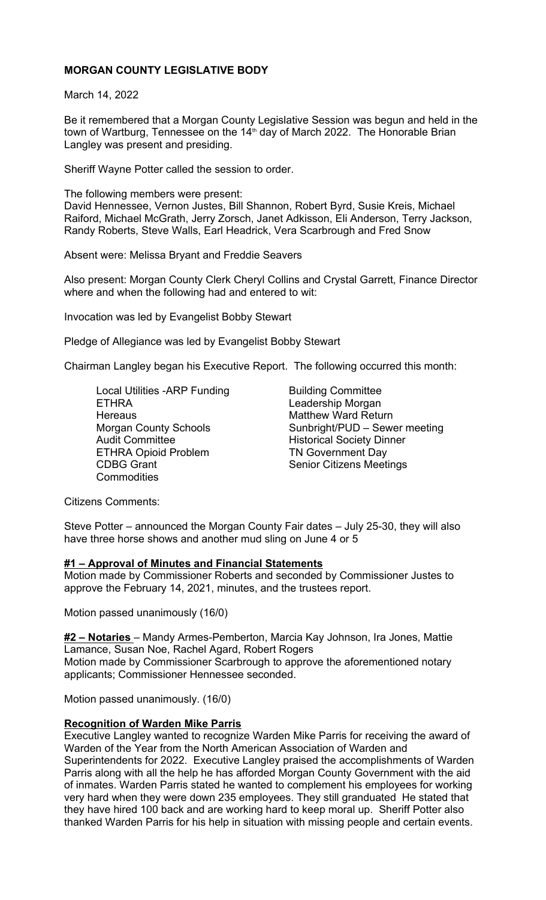# **MORGAN COUNTY LEGISLATIVE BODY**

March 14, 2022

Be it remembered that a Morgan County Legislative Session was begun and held in the town of Wartburg, Tennessee on the  $14<sup>th</sup>$  day of March 2022. The Honorable Brian Langley was present and presiding.

Sheriff Wayne Potter called the session to order.

The following members were present: David Hennessee, Vernon Justes, Bill Shannon, Robert Byrd, Susie Kreis, Michael Raiford, Michael McGrath, Jerry Zorsch, Janet Adkisson, Eli Anderson, Terry Jackson, Randy Roberts, Steve Walls, Earl Headrick, Vera Scarbrough and Fred Snow

Absent were: Melissa Bryant and Freddie Seavers

Also present: Morgan County Clerk Cheryl Collins and Crystal Garrett, Finance Director where and when the following had and entered to wit:

Invocation was led by Evangelist Bobby Stewart

Pledge of Allegiance was led by Evangelist Bobby Stewart

Chairman Langley began his Executive Report. The following occurred this month:

Local Utilities -ARP Funding **Building Committee** ETHRA Leadership Morgan Hereaus **Matthew Ward Return** Audit Committee **Historical Society Dinner** ETHRA Opioid Problem TN Government Day CDBG Grant Senior Citizens Meetings **Commodities** 

Morgan County Schools Sunbright/PUD – Sewer meeting

Citizens Comments:

Steve Potter – announced the Morgan County Fair dates – July 25-30, they will also have three horse shows and another mud sling on June 4 or 5

## **#1 – Approval of Minutes and Financial Statements**

Motion made by Commissioner Roberts and seconded by Commissioner Justes to approve the February 14, 2021, minutes, and the trustees report.

Motion passed unanimously (16/0)

**#2 – Notaries** – Mandy Armes-Pemberton, Marcia Kay Johnson, Ira Jones, Mattie Lamance, Susan Noe, Rachel Agard, Robert Rogers Motion made by Commissioner Scarbrough to approve the aforementioned notary

applicants; Commissioner Hennessee seconded.

Motion passed unanimously. (16/0)

## **Recognition of Warden Mike Parris**

Executive Langley wanted to recognize Warden Mike Parris for receiving the award of Warden of the Year from the North American Association of Warden and Superintendents for 2022. Executive Langley praised the accomplishments of Warden Parris along with all the help he has afforded Morgan County Government with the aid of inmates. Warden Parris stated he wanted to complement his employees for working very hard when they were down 235 employees. They still granduated He stated that they have hired 100 back and are working hard to keep moral up. Sheriff Potter also thanked Warden Parris for his help in situation with missing people and certain events.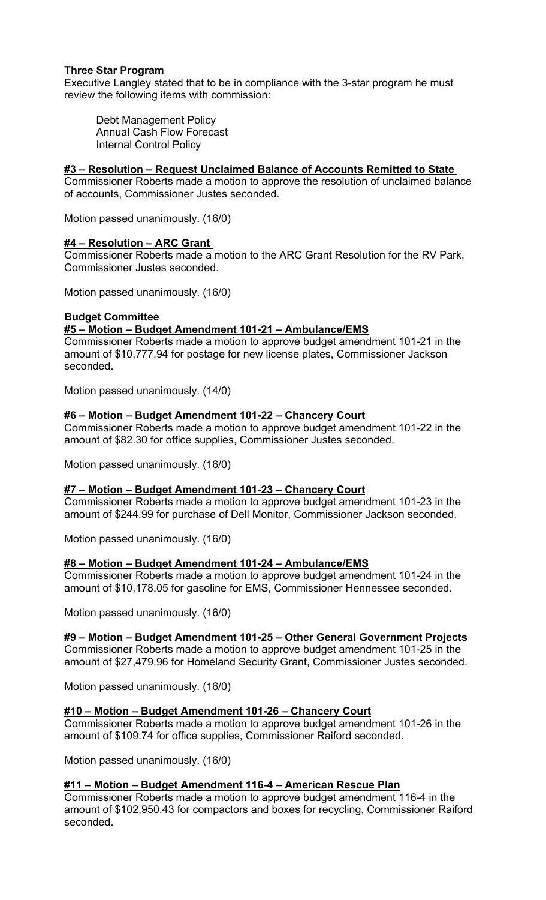# **Three Star Program**

Executive Langley stated that to be in compliance with the 3-star program he must review the following items with commission:

Debt Management Policy Annual Cash Flow Forecast Internal Control Policy

# **#3 – Resolution – Request Unclaimed Balance of Accounts Remitted to State**

Commissioner Roberts made a motion to approve the resolution of unclaimed balance of accounts, Commissioner Justes seconded.

Motion passed unanimously. (16/0)

## **#4 – Resolution – ARC Grant**

Commissioner Roberts made a motion to the ARC Grant Resolution for the RV Park, Commissioner Justes seconded.

Motion passed unanimously. (16/0)

## **Budget Committee**

## **#5 – Motion – Budget Amendment 101-21 – Ambulance/EMS**

Commissioner Roberts made a motion to approve budget amendment 101-21 in the amount of \$10,777.94 for postage for new license plates, Commissioner Jackson seconded.

Motion passed unanimously. (14/0)

## **#6 – Motion – Budget Amendment 101-22 – Chancery Court**

Commissioner Roberts made a motion to approve budget amendment 101-22 in the amount of \$82.30 for office supplies, Commissioner Justes seconded.

Motion passed unanimously. (16/0)

#### **#7 – Motion – Budget Amendment 101-23 – Chancery Court**

Commissioner Roberts made a motion to approve budget amendment 101-23 in the amount of \$244.99 for purchase of Dell Monitor, Commissioner Jackson seconded.

Motion passed unanimously. (16/0)

## **#8 – Motion – Budget Amendment 101-24 – Ambulance/EMS**

Commissioner Roberts made a motion to approve budget amendment 101-24 in the amount of \$10,178.05 for gasoline for EMS, Commissioner Hennessee seconded.

Motion passed unanimously. (16/0)

## **#9 – Motion – Budget Amendment 101-25 – Other General Government Projects**

Commissioner Roberts made a motion to approve budget amendment 101-25 in the amount of \$27,479.96 for Homeland Security Grant, Commissioner Justes seconded.

Motion passed unanimously. (16/0)

#### **#10 – Motion – Budget Amendment 101-26 – Chancery Court**

Commissioner Roberts made a motion to approve budget amendment 101-26 in the amount of \$109.74 for office supplies, Commissioner Raiford seconded.

Motion passed unanimously. (16/0)

#### **#11 – Motion – Budget Amendment 116-4 – American Rescue Plan**

Commissioner Roberts made a motion to approve budget amendment 116-4 in the amount of \$102,950.43 for compactors and boxes for recycling, Commissioner Raiford seconded.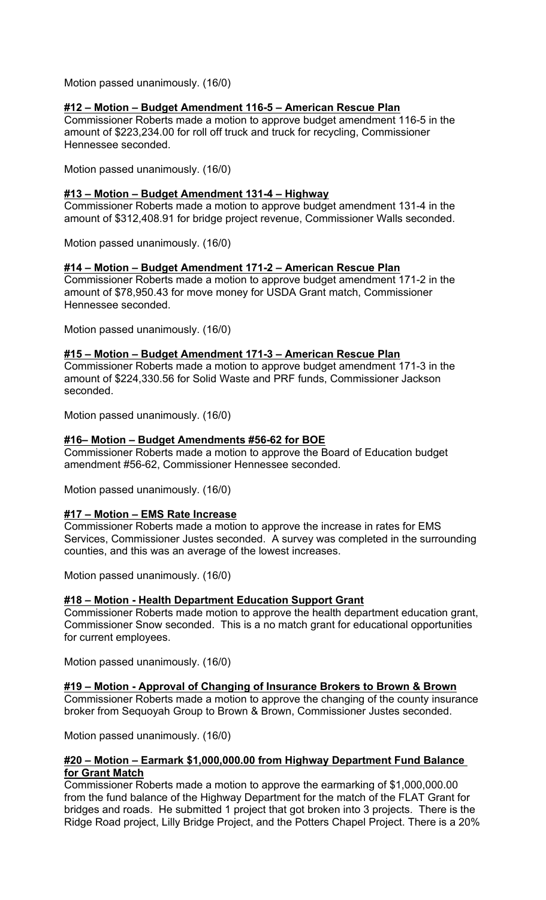Motion passed unanimously. (16/0)

# **#12 – Motion – Budget Amendment 116-5 – American Rescue Plan**

Commissioner Roberts made a motion to approve budget amendment 116-5 in the amount of \$223,234.00 for roll off truck and truck for recycling, Commissioner Hennessee seconded.

Motion passed unanimously. (16/0)

# **#13 – Motion – Budget Amendment 131-4 – Highway**

Commissioner Roberts made a motion to approve budget amendment 131-4 in the amount of \$312,408.91 for bridge project revenue, Commissioner Walls seconded.

Motion passed unanimously. (16/0)

## **#14 – Motion – Budget Amendment 171-2 – American Rescue Plan**

Commissioner Roberts made a motion to approve budget amendment 171-2 in the amount of \$78,950.43 for move money for USDA Grant match, Commissioner Hennessee seconded.

Motion passed unanimously. (16/0)

# **#15 – Motion – Budget Amendment 171-3 – American Rescue Plan**

Commissioner Roberts made a motion to approve budget amendment 171-3 in the amount of \$224,330.56 for Solid Waste and PRF funds, Commissioner Jackson seconded.

Motion passed unanimously. (16/0)

# **#16– Motion – Budget Amendments #56-62 for BOE**

Commissioner Roberts made a motion to approve the Board of Education budget amendment #56-62, Commissioner Hennessee seconded.

Motion passed unanimously. (16/0)

## **#17 – Motion – EMS Rate Increase**

Commissioner Roberts made a motion to approve the increase in rates for EMS Services, Commissioner Justes seconded. A survey was completed in the surrounding counties, and this was an average of the lowest increases.

Motion passed unanimously. (16/0)

## **#18 – Motion - Health Department Education Support Grant**

Commissioner Roberts made motion to approve the health department education grant, Commissioner Snow seconded. This is a no match grant for educational opportunities for current employees.

Motion passed unanimously. (16/0)

## **#19 – Motion - Approval of Changing of Insurance Brokers to Brown & Brown**

Commissioner Roberts made a motion to approve the changing of the county insurance broker from Sequoyah Group to Brown & Brown, Commissioner Justes seconded.

Motion passed unanimously. (16/0)

## **#20 – Motion – Earmark \$1,000,000.00 from Highway Department Fund Balance for Grant Match**

Commissioner Roberts made a motion to approve the earmarking of \$1,000,000.00 from the fund balance of the Highway Department for the match of the FLAT Grant for bridges and roads. He submitted 1 project that got broken into 3 projects. There is the Ridge Road project, Lilly Bridge Project, and the Potters Chapel Project. There is a 20%